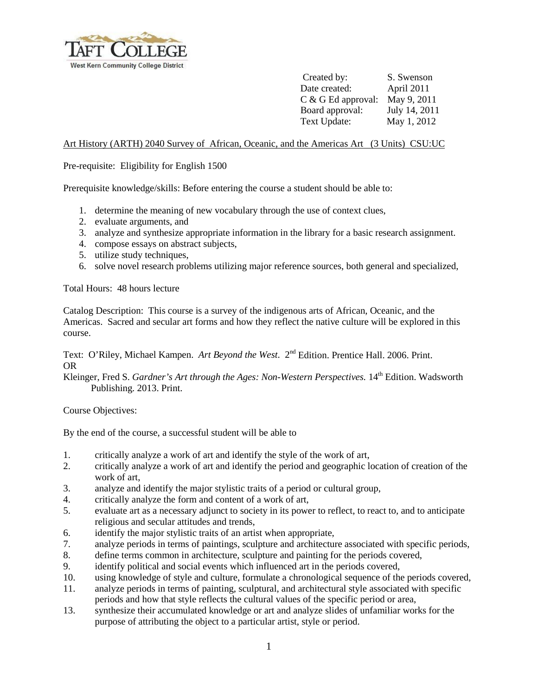

 Created by: S. Swenson Date created: April 2011 C & G Ed approval: May 9, 2011 Board approval: July 14, 2011 Text Update: May 1, 2012

# Art History (ARTH) 2040 Survey of African, Oceanic, and the Americas Art (3 Units) CSU:UC

Pre-requisite: Eligibility for English 1500

Prerequisite knowledge/skills: Before entering the course a student should be able to:

- 1. determine the meaning of new vocabulary through the use of context clues,
- 2. evaluate arguments, and
- 3. analyze and synthesize appropriate information in the library for a basic research assignment.
- 4. compose essays on abstract subjects,
- 5. utilize study techniques,
- 6. solve novel research problems utilizing major reference sources, both general and specialized,

Total Hours: 48 hours lecture

Catalog Description: This course is a survey of the indigenous arts of African, Oceanic, and the Americas. Sacred and secular art forms and how they reflect the native culture will be explored in this course.

Text: O'Riley, Michael Kampen. *Art Beyond the West*. 2<sup>nd</sup> Edition. Prentice Hall. 2006. Print. OR

Kleinger, Fred S. *Gardner's Art through the Ages: Non-Western Perspectives.* 14<sup>th</sup> Edition. Wadsworth Publishing. 2013. Print.

Course Objectives:

By the end of the course, a successful student will be able to

- 1. critically analyze a work of art and identify the style of the work of art,
- 2. critically analyze a work of art and identify the period and geographic location of creation of the work of art,
- 3. analyze and identify the major stylistic traits of a period or cultural group,
- 4. critically analyze the form and content of a work of art,
- 5. evaluate art as a necessary adjunct to society in its power to reflect, to react to, and to anticipate religious and secular attitudes and trends,
- 6. identify the major stylistic traits of an artist when appropriate,
- 7. analyze periods in terms of paintings, sculpture and architecture associated with specific periods,
- 8. define terms common in architecture, sculpture and painting for the periods covered,
- 9. identify political and social events which influenced art in the periods covered,
- 10. using knowledge of style and culture, formulate a chronological sequence of the periods covered,
- 11. analyze periods in terms of painting, sculptural, and architectural style associated with specific periods and how that style reflects the cultural values of the specific period or area,
- 13. synthesize their accumulated knowledge or art and analyze slides of unfamiliar works for the purpose of attributing the object to a particular artist, style or period.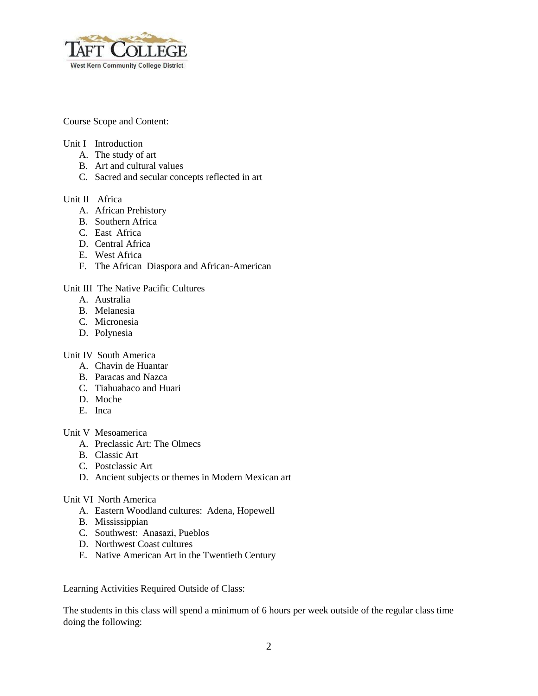

Course Scope and Content:

## Unit I Introduction

- A. The study of art
- B. Art and cultural values
- C. Sacred and secular concepts reflected in art

### Unit II Africa

- A. African Prehistory
- B. Southern Africa
- C. East Africa
- D. Central Africa
- E. West Africa
- F. The African Diaspora and African-American

#### Unit III The Native Pacific Cultures

- A. Australia
- B. Melanesia
- C. Micronesia
- D. Polynesia

# Unit IV South America

- A. Chavin de Huantar
- B. Paracas and Nazca
- C. Tiahuabaco and Huari
- D. Moche
- E. Inca

### Unit V Mesoamerica

- A. Preclassic Art: The Olmecs
- B. Classic Art
- C. Postclassic Art
- D. Ancient subjects or themes in Modern Mexican art

# Unit VI North America

- A. Eastern Woodland cultures: Adena, Hopewell
- B. Mississippian
- C. Southwest: Anasazi, Pueblos
- D. Northwest Coast cultures
- E. Native American Art in the Twentieth Century

Learning Activities Required Outside of Class:

The students in this class will spend a minimum of 6 hours per week outside of the regular class time doing the following: